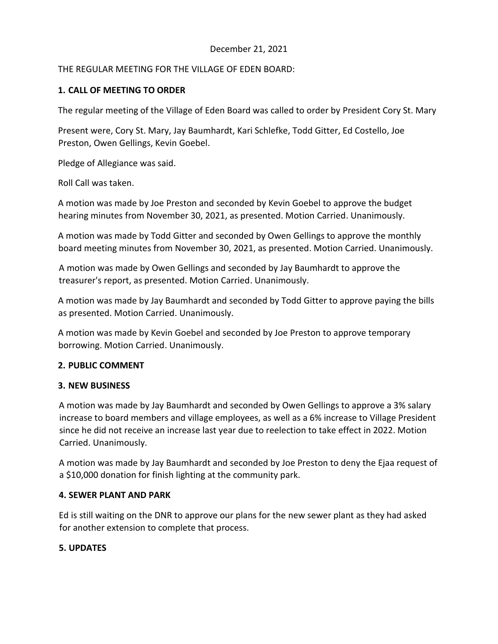# December 21, 2021

## THE REGULAR MEETING FOR THE VILLAGE OF EDEN BOARD:

# **1. CALL OF MEETING TO ORDER**

The regular meeting of the Village of Eden Board was called to order by President Cory St. Mary

Present were, Cory St. Mary, Jay Baumhardt, Kari Schlefke, Todd Gitter, Ed Costello, Joe Preston, Owen Gellings, Kevin Goebel.

Pledge of Allegiance was said.

Roll Call was taken.

A motion was made by Joe Preston and seconded by Kevin Goebel to approve the budget hearing minutes from November 30, 2021, as presented. Motion Carried. Unanimously.

A motion was made by Todd Gitter and seconded by Owen Gellings to approve the monthly board meeting minutes from November 30, 2021, as presented. Motion Carried. Unanimously.

A motion was made by Owen Gellings and seconded by Jay Baumhardt to approve the treasurer's report, as presented. Motion Carried. Unanimously.

A motion was made by Jay Baumhardt and seconded by Todd Gitter to approve paying the bills as presented. Motion Carried. Unanimously.

A motion was made by Kevin Goebel and seconded by Joe Preston to approve temporary borrowing. Motion Carried. Unanimously.

### **2. PUBLIC COMMENT**

#### **3. NEW BUSINESS**

A motion was made by Jay Baumhardt and seconded by Owen Gellings to approve a 3% salary increase to board members and village employees, as well as a 6% increase to Village President since he did not receive an increase last year due to reelection to take effect in 2022. Motion Carried. Unanimously.

A motion was made by Jay Baumhardt and seconded by Joe Preston to deny the Ejaa request of a \$10,000 donation for finish lighting at the community park.

### **4. SEWER PLANT AND PARK**

Ed is still waiting on the DNR to approve our plans for the new sewer plant as they had asked for another extension to complete that process.

### **5. UPDATES**